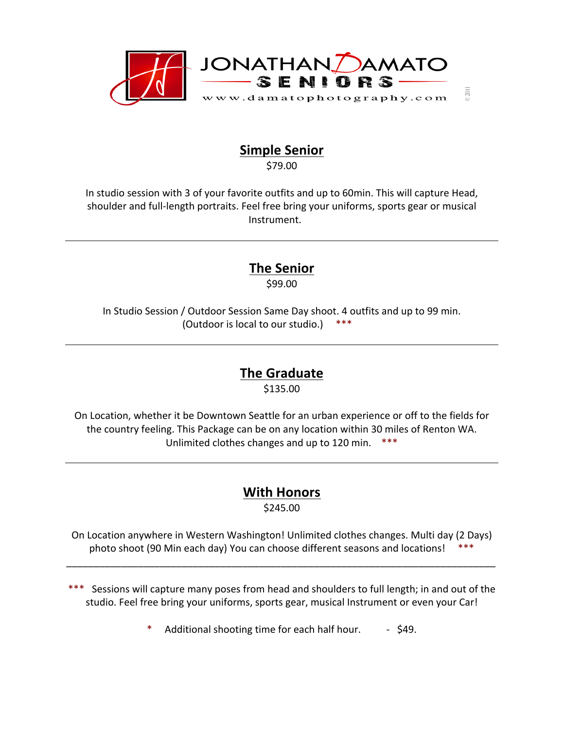

### **Simple Senior**

\$79.00

In studio session with 3 of your favorite outfits and up to 60min. This will capture Head, shoulder and full-length portraits. Feel free bring your uniforms, sports gear or musical Instrument.

### **The Senior**

\$99.00

In Studio Session / Outdoor Session Same Day shoot. 4 outfits and up to 99 min. (Outdoor is local to our studio.)  $***$ 

## **The Graduate**

\$135.00

On Location, whether it be Downtown Seattle for an urban experience or off to the fields for the country feeling. This Package can be on any location within 30 miles of Renton WA. Unlimited clothes changes and up to 120 min. \*\*\*

# **With Honors**

\$245.00

On Location anywhere in Western Washington! Unlimited clothes changes. Multi day (2 Days) photo shoot (90 Min each day) You can choose different seasons and locations! \*\*\*

\_\_\_\_\_\_\_\_\_\_\_\_\_\_\_\_\_\_\_\_\_\_\_\_\_\_\_\_\_\_\_\_\_\_\_\_\_\_\_\_\_\_\_\_\_\_\_\_\_\_\_\_\_\_\_\_\_\_\_\_\_\_\_\_\_\_\_\_\_\_\_\_\_\_\_\_\_\_

- \*\*\* Sessions will capture many poses from head and shoulders to full length; in and out of the studio. Feel free bring your uniforms, sports gear, musical Instrument or even your Car!
	- Additional shooting time for each half hour. . . . \$49.